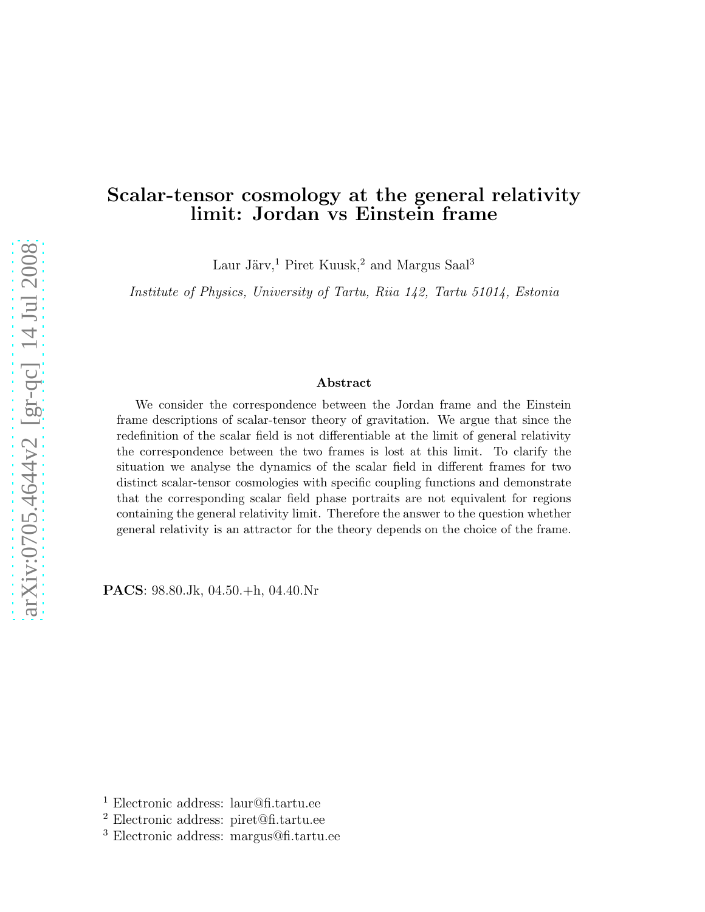# Scalar-tensor cosmology at the general relativity limit: Jordan vs Einstein frame

Laur Järv,<sup>1</sup> Piret Kuusk,<sup>2</sup> and Margus Saal<sup>3</sup>

Institute of Physics, University of Tartu, Riia 142, Tartu 51014, Estonia

#### Abstract

We consider the correspondence between the Jordan frame and the Einstein frame descriptions of scalar-tensor theory of gravitation. We argue that since the redefinition of the scalar field is not differentiable at the limit of general relativity the correspondence between the two frames is lost at this limit. To clarify the situation we analyse the dynamics of the scalar field in different frames for two distinct scalar-tensor cosmologies with specific coupling functions and demonstrate that the corresponding scalar field phase portraits are not equivalent for regions containing the general relativity limit. Therefore the answer to the question whether general relativity is an attractor for the theory depends on the choice of the frame.

PACS: 98.80.Jk, 04.50.+h, 04.40.Nr

<sup>1</sup> Electronic address: laur@fi.tartu.ee

<sup>2</sup> Electronic address: piret@fi.tartu.ee

<sup>3</sup> Electronic address: margus@fi.tartu.ee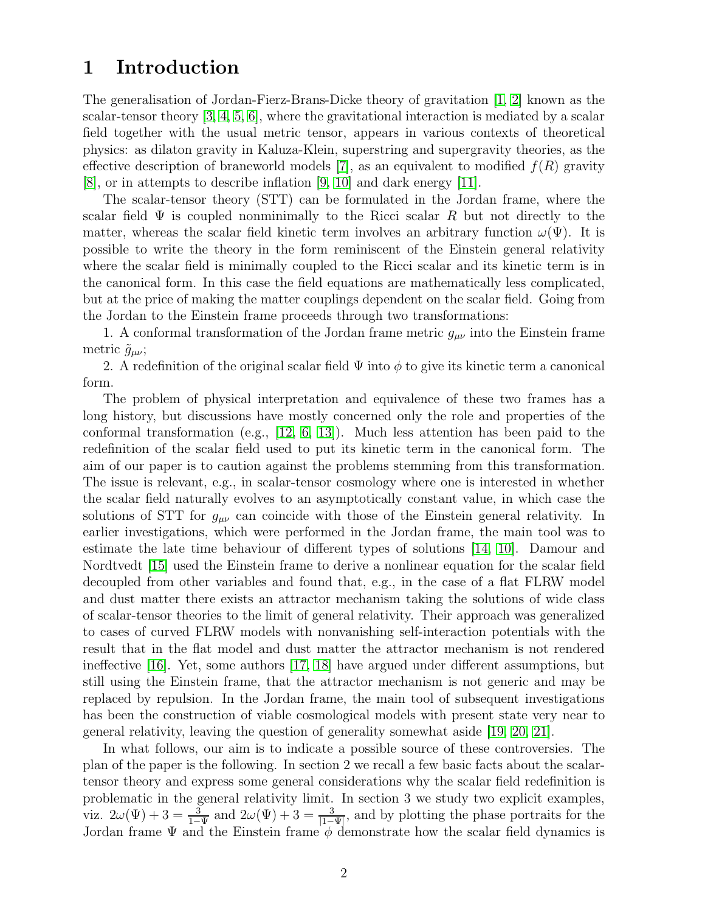# 1 Introduction

The generalisation of Jordan-Fierz-Brans-Dicke theory of gravitation [\[1,](#page-13-0) [2\]](#page-13-1) known as the scalar-tensor theory [\[3,](#page-13-2) [4,](#page-13-3) [5,](#page-14-0) [6\]](#page-14-1), where the gravitational interaction is mediated by a scalar field together with the usual metric tensor, appears in various contexts of theoretical physics: as dilaton gravity in Kaluza-Klein, superstring and supergravity theories, as the effective description of braneworld models [\[7\]](#page-14-2), as an equivalent to modified  $f(R)$  gravity [\[8\]](#page-14-3), or in attempts to describe inflation [\[9,](#page-14-4) [10\]](#page-14-5) and dark energy [\[11\]](#page-14-6).

The scalar-tensor theory (STT) can be formulated in the Jordan frame, where the scalar field  $\Psi$  is coupled nonminimally to the Ricci scalar R but not directly to the matter, whereas the scalar field kinetic term involves an arbitrary function  $\omega(\Psi)$ . It is possible to write the theory in the form reminiscent of the Einstein general relativity where the scalar field is minimally coupled to the Ricci scalar and its kinetic term is in the canonical form. In this case the field equations are mathematically less complicated, but at the price of making the matter couplings dependent on the scalar field. Going from the Jordan to the Einstein frame proceeds through two transformations:

1. A conformal transformation of the Jordan frame metric  $g_{\mu\nu}$  into the Einstein frame metric  $\tilde{g}_{\mu\nu}$ ;

2. A redefinition of the original scalar field  $\Psi$  into  $\phi$  to give its kinetic term a canonical form.

The problem of physical interpretation and equivalence of these two frames has a long history, but discussions have mostly concerned only the role and properties of the conformal transformation (e.g.,  $[12, 6, 13]$  $[12, 6, 13]$  $[12, 6, 13]$ ). Much less attention has been paid to the redefinition of the scalar field used to put its kinetic term in the canonical form. The aim of our paper is to caution against the problems stemming from this transformation. The issue is relevant, e.g., in scalar-tensor cosmology where one is interested in whether the scalar field naturally evolves to an asymptotically constant value, in which case the solutions of STT for  $g_{\mu\nu}$  can coincide with those of the Einstein general relativity. In earlier investigations, which were performed in the Jordan frame, the main tool was to estimate the late time behaviour of different types of solutions [\[14,](#page-14-9) [10\]](#page-14-5). Damour and Nordtvedt [\[15\]](#page-14-10) used the Einstein frame to derive a nonlinear equation for the scalar field decoupled from other variables and found that, e.g., in the case of a flat FLRW model and dust matter there exists an attractor mechanism taking the solutions of wide class of scalar-tensor theories to the limit of general relativity. Their approach was generalized to cases of curved FLRW models with nonvanishing self-interaction potentials with the result that in the flat model and dust matter the attractor mechanism is not rendered ineffective [\[16\]](#page-14-11). Yet, some authors [\[17,](#page-14-12) [18\]](#page-14-13) have argued under different assumptions, but still using the Einstein frame, that the attractor mechanism is not generic and may be replaced by repulsion. In the Jordan frame, the main tool of subsequent investigations has been the construction of viable cosmological models with present state very near to general relativity, leaving the question of generality somewhat aside [\[19,](#page-14-14) [20,](#page-14-15) [21\]](#page-14-16).

In what follows, our aim is to indicate a possible source of these controversies. The plan of the paper is the following. In section 2 we recall a few basic facts about the scalartensor theory and express some general considerations why the scalar field redefinition is problematic in the general relativity limit. In section 3 we study two explicit examples, viz.  $2\omega(\Psi) + 3 = \frac{3}{1-\Psi}$  and  $2\omega(\Psi) + 3 = \frac{3}{1-\Psi}$ , and by plotting the phase portraits for the Jordan frame  $\Psi$  and the Einstein frame  $\phi$  demonstrate how the scalar field dynamics is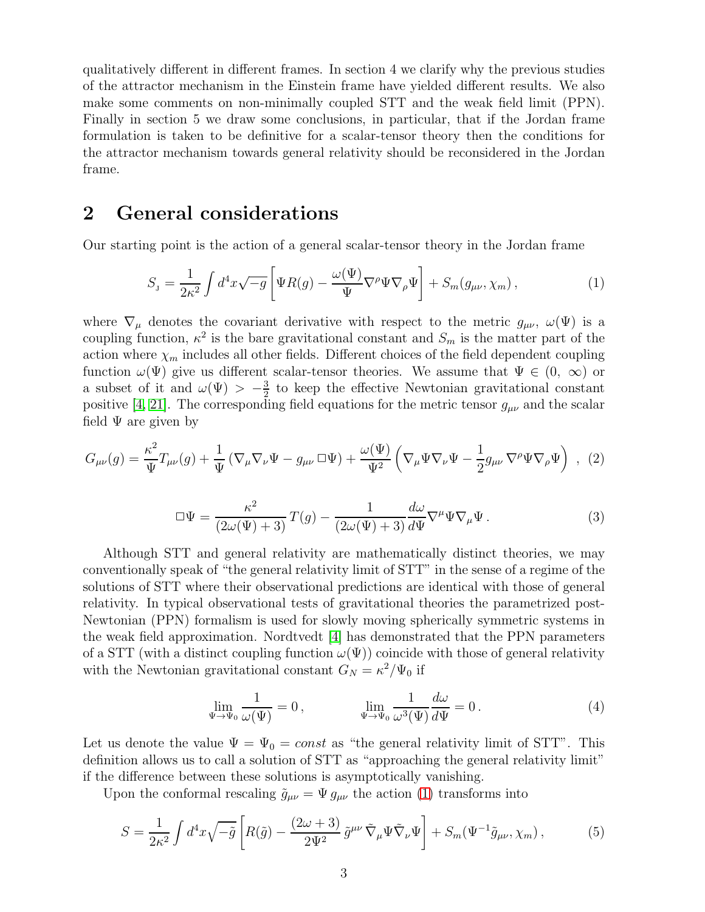qualitatively different in different frames. In section 4 we clarify why the previous studies of the attractor mechanism in the Einstein frame have yielded different results. We also make some comments on non-minimally coupled STT and the weak field limit (PPN). Finally in section 5 we draw some conclusions, in particular, that if the Jordan frame formulation is taken to be definitive for a scalar-tensor theory then the conditions for the attractor mechanism towards general relativity should be reconsidered in the Jordan frame.

# 2 General considerations

Our starting point is the action of a general scalar-tensor theory in the Jordan frame

<span id="page-2-0"></span>
$$
S_{\mathbf{J}} = \frac{1}{2\kappa^2} \int d^4x \sqrt{-g} \left[ \Psi R(g) - \frac{\omega(\Psi)}{\Psi} \nabla^\rho \Psi \nabla_\rho \Psi \right] + S_m(g_{\mu\nu}, \chi_m) \,, \tag{1}
$$

where  $\nabla_{\mu}$  denotes the covariant derivative with respect to the metric  $g_{\mu\nu}$ ,  $\omega(\Psi)$  is a coupling function,  $\kappa^2$  is the bare gravitational constant and  $S_m$  is the matter part of the action where  $\chi_m$  includes all other fields. Different choices of the field dependent coupling function  $\omega(\Psi)$  give us different scalar-tensor theories. We assume that  $\Psi \in (0, \infty)$  or a subset of it and  $\omega(\Psi) > -\frac{3}{2}$  $\frac{3}{2}$  to keep the effective Newtonian gravitational constant positive [\[4,](#page-13-3) [21\]](#page-14-16). The corresponding field equations for the metric tensor  $g_{\mu\nu}$  and the scalar field  $\Psi$  are given by

$$
G_{\mu\nu}(g) = \frac{\kappa^2}{\Psi} T_{\mu\nu}(g) + \frac{1}{\Psi} \left( \nabla_{\mu} \nabla_{\nu} \Psi - g_{\mu\nu} \,\Box \Psi \right) + \frac{\omega(\Psi)}{\Psi^2} \left( \nabla_{\mu} \Psi \nabla_{\nu} \Psi - \frac{1}{2} g_{\mu\nu} \nabla^{\rho} \Psi \nabla_{\rho} \Psi \right) , \tag{2}
$$

$$
\Box \Psi = \frac{\kappa^2}{(2\omega(\Psi) + 3)} T(g) - \frac{1}{(2\omega(\Psi) + 3)} \frac{d\omega}{d\Psi} \nabla^{\mu} \Psi \nabla_{\mu} \Psi.
$$
 (3)

Although STT and general relativity are mathematically distinct theories, we may conventionally speak of "the general relativity limit of STT" in the sense of a regime of the solutions of STT where their observational predictions are identical with those of general relativity. In typical observational tests of gravitational theories the parametrized post-Newtonian (PPN) formalism is used for slowly moving spherically symmetric systems in the weak field approximation. Nordtvedt [\[4\]](#page-13-3) has demonstrated that the PPN parameters of a STT (with a distinct coupling function  $\omega(\Psi)$ ) coincide with those of general relativity with the Newtonian gravitational constant  $G_N = \kappa^2/\Psi_0$  if

<span id="page-2-1"></span>
$$
\lim_{\Psi \to \Psi_0} \frac{1}{\omega(\Psi)} = 0, \qquad \lim_{\Psi \to \Psi_0} \frac{1}{\omega^3(\Psi)} \frac{d\omega}{d\Psi} = 0.
$$
\n(4)

Let us denote the value  $\Psi = \Psi_0 = const$  as "the general relativity limit of STT". This definition allows us to call a solution of STT as "approaching the general relativity limit" if the difference between these solutions is asymptotically vanishing.

Upon the conformal rescaling  $\tilde{g}_{\mu\nu} = \Psi g_{\mu\nu}$  the action [\(1\)](#page-2-0) transforms into

$$
S = \frac{1}{2\kappa^2} \int d^4x \sqrt{-\tilde{g}} \left[ R(\tilde{g}) - \frac{(2\omega + 3)}{2\Psi^2} \tilde{g}^{\mu\nu} \tilde{\nabla}_{\mu} \Psi \tilde{\nabla}_{\nu} \Psi \right] + S_m(\Psi^{-1} \tilde{g}_{\mu\nu}, \chi_m) ,\qquad (5)
$$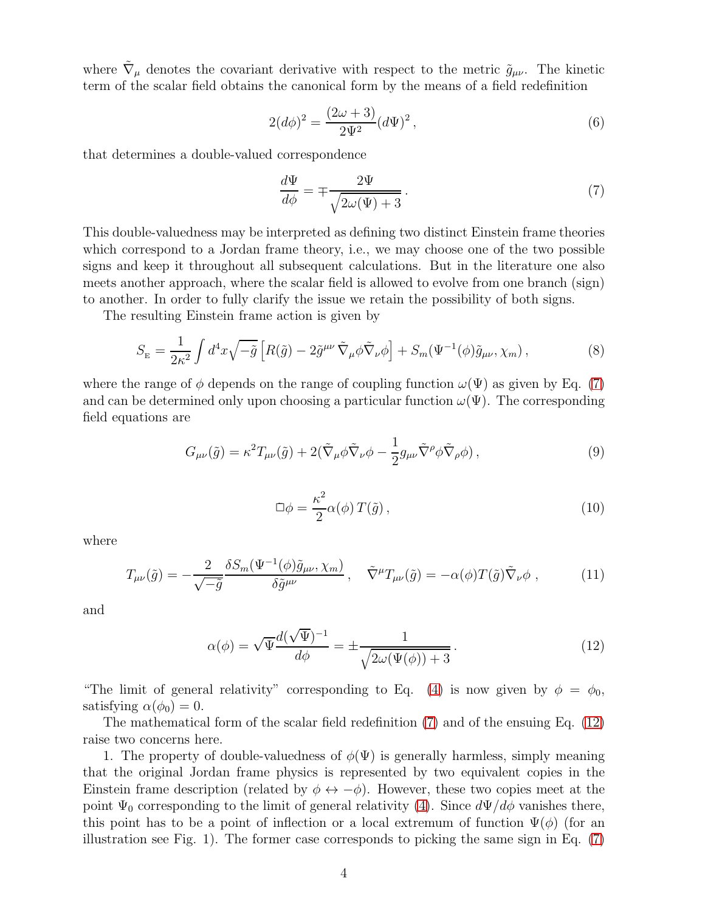where  $\tilde{\nabla}_{\mu}$  denotes the covariant derivative with respect to the metric  $\tilde{g}_{\mu\nu}$ . The kinetic term of the scalar field obtains the canonical form by the means of a field redefinition

$$
2(d\phi)^2 = \frac{(2\omega + 3)}{2\Psi^2} (d\Psi)^2, \qquad (6)
$$

that determines a double-valued correspondence

<span id="page-3-0"></span>
$$
\frac{d\Psi}{d\phi} = \mp \frac{2\Psi}{\sqrt{2\omega(\Psi) + 3}}.\tag{7}
$$

This double-valuedness may be interpreted as defining two distinct Einstein frame theories which correspond to a Jordan frame theory, i.e., we may choose one of the two possible signs and keep it throughout all subsequent calculations. But in the literature one also meets another approach, where the scalar field is allowed to evolve from one branch (sign) to another. In order to fully clarify the issue we retain the possibility of both signs.

The resulting Einstein frame action is given by

$$
S_{\rm E} = \frac{1}{2\kappa^2} \int d^4x \sqrt{-\tilde{g}} \left[ R(\tilde{g}) - 2\tilde{g}^{\mu\nu} \tilde{\nabla}_{\mu} \phi \tilde{\nabla}_{\nu} \phi \right] + S_m(\Psi^{-1}(\phi)\tilde{g}_{\mu\nu}, \chi_m) ,\qquad (8)
$$

where the range of  $\phi$  depends on the range of coupling function  $\omega(\Psi)$  as given by Eq. [\(7\)](#page-3-0) and can be determined only upon choosing a particular function  $\omega(\Psi)$ . The corresponding field equations are

$$
G_{\mu\nu}(\tilde{g}) = \kappa^2 T_{\mu\nu}(\tilde{g}) + 2(\tilde{\nabla}_{\mu}\phi\tilde{\nabla}_{\nu}\phi - \frac{1}{2}g_{\mu\nu}\tilde{\nabla}^{\rho}\phi\tilde{\nabla}_{\rho}\phi), \qquad (9)
$$

$$
\Box \phi = \frac{\kappa^2}{2} \alpha(\phi) \, T(\tilde{g}) \,, \tag{10}
$$

where

$$
T_{\mu\nu}(\tilde{g}) = -\frac{2}{\sqrt{-\tilde{g}}}\frac{\delta S_m(\Psi^{-1}(\phi)\tilde{g}_{\mu\nu}, \chi_m)}{\delta \tilde{g}^{\mu\nu}}, \quad \tilde{\nabla}^{\mu}T_{\mu\nu}(\tilde{g}) = -\alpha(\phi)T(\tilde{g})\tilde{\nabla}_{\nu}\phi , \qquad (11)
$$

and

<span id="page-3-1"></span>
$$
\alpha(\phi) = \sqrt{\Psi} \frac{d(\sqrt{\Psi})^{-1}}{d\phi} = \pm \frac{1}{\sqrt{2\omega(\Psi(\phi)) + 3}}.
$$
\n(12)

"The limit of general relativity" corresponding to Eq. [\(4\)](#page-2-1) is now given by  $\phi = \phi_0$ , satisfying  $\alpha(\phi_0) = 0$ .

The mathematical form of the scalar field redefinition [\(7\)](#page-3-0) and of the ensuing Eq. [\(12\)](#page-3-1) raise two concerns here.

1. The property of double-valuedness of  $\phi(\Psi)$  is generally harmless, simply meaning that the original Jordan frame physics is represented by two equivalent copies in the Einstein frame description (related by  $\phi \leftrightarrow -\phi$ ). However, these two copies meet at the point  $\Psi_0$  corresponding to the limit of general relativity [\(4\)](#page-2-1). Since  $d\Psi/d\phi$  vanishes there, this point has to be a point of inflection or a local extremum of function  $\Psi(\phi)$  (for an illustration see Fig. 1). The former case corresponds to picking the same sign in Eq. [\(7\)](#page-3-0)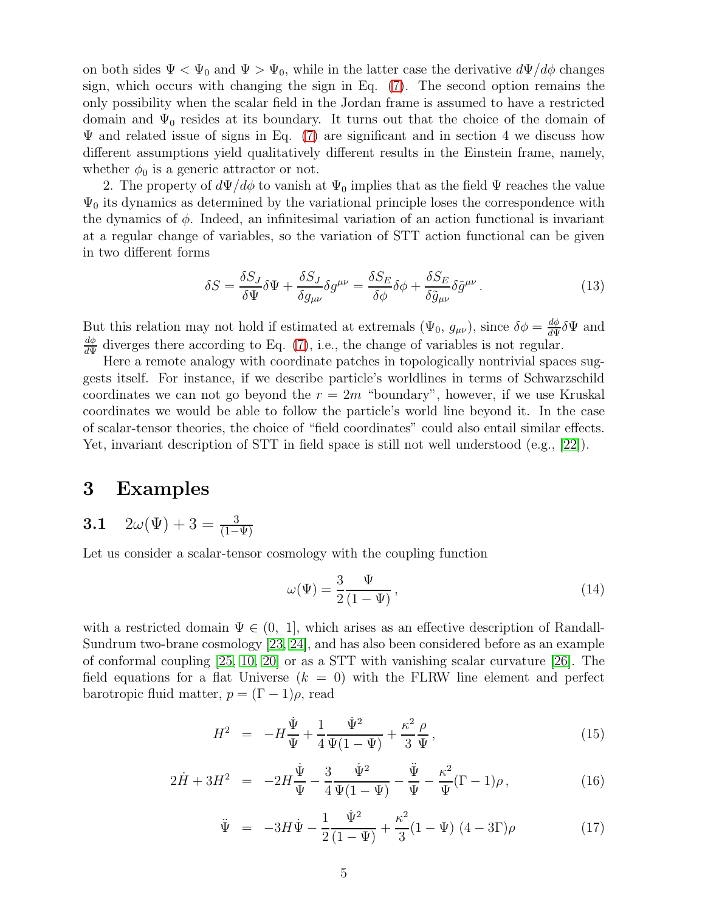on both sides  $\Psi < \Psi_0$  and  $\Psi > \Psi_0$ , while in the latter case the derivative  $d\Psi/d\phi$  changes sign, which occurs with changing the sign in Eq. [\(7\)](#page-3-0). The second option remains the only possibility when the scalar field in the Jordan frame is assumed to have a restricted domain and  $\Psi_0$  resides at its boundary. It turns out that the choice of the domain of  $\Psi$  and related issue of signs in Eq. [\(7\)](#page-3-0) are significant and in section 4 we discuss how different assumptions yield qualitatively different results in the Einstein frame, namely, whether  $\phi_0$  is a generic attractor or not.

2. The property of  $d\Psi/d\phi$  to vanish at  $\Psi_0$  implies that as the field  $\Psi$  reaches the value  $\Psi_0$  its dynamics as determined by the variational principle loses the correspondence with the dynamics of  $\phi$ . Indeed, an infinitesimal variation of an action functional is invariant at a regular change of variables, so the variation of STT action functional can be given in two different forms

$$
\delta S = \frac{\delta S_J}{\delta \Psi} \delta \Psi + \frac{\delta S_J}{\delta g_{\mu\nu}} \delta g^{\mu\nu} = \frac{\delta S_E}{\delta \phi} \delta \phi + \frac{\delta S_E}{\delta \tilde{g}_{\mu\nu}} \delta \tilde{g}^{\mu\nu} \,. \tag{13}
$$

But this relation may not hold if estimated at extremals  $(\Psi_0, g_{\mu\nu})$ , since  $\delta\phi = \frac{d\phi}{d\Psi}$  $\frac{d\phi}{d\Psi}\delta\Psi$  and  $d\phi$  $\frac{d\phi}{d\Psi}$  diverges there according to Eq. [\(7\)](#page-3-0), i.e., the change of variables is not regular.

Here a remote analogy with coordinate patches in topologically nontrivial spaces suggests itself. For instance, if we describe particle's worldlines in terms of Schwarzschild coordinates we can not go beyond the  $r = 2m$  "boundary", however, if we use Kruskal coordinates we would be able to follow the particle's world line beyond it. In the case of scalar-tensor theories, the choice of "field coordinates" could also entail similar effects. Yet, invariant description of STT in field space is still not well understood (e.g., [\[22\]](#page-14-17)).

## 3 Examples

3.1 
$$
2\omega(\Psi) + 3 = \frac{3}{(1-\Psi)}
$$

Let us consider a scalar-tensor cosmology with the coupling function

$$
\omega(\Psi) = \frac{3}{2} \frac{\Psi}{(1 - \Psi)},\tag{14}
$$

with a restricted domain  $\Psi \in (0, 1]$ , which arises as an effective description of Randall-Sundrum two-brane cosmology [\[23,](#page-15-0) [24\]](#page-15-1), and has also been considered before as an example of conformal coupling [\[25,](#page-15-2) [10,](#page-14-5) [20\]](#page-14-15) or as a STT with vanishing scalar curvature [\[26\]](#page-15-3). The field equations for a flat Universe  $(k = 0)$  with the FLRW line element and perfect barotropic fluid matter,  $p = (\Gamma - 1)\rho$ , read

<span id="page-4-0"></span>
$$
H^{2} = -H\frac{\dot{\Psi}}{\Psi} + \frac{1}{4}\frac{\dot{\Psi}^{2}}{\Psi(1-\Psi)} + \frac{\kappa^{2}}{3}\frac{\rho}{\Psi}, \qquad (15)
$$

$$
2\dot{H} + 3H^2 = -2H\frac{\dot{\Psi}}{\Psi} - \frac{3}{4}\frac{\dot{\Psi}^2}{\Psi(1-\Psi)} - \frac{\ddot{\Psi}}{\Psi} - \frac{\kappa^2}{\Psi}(\Gamma - 1)\rho, \qquad (16)
$$

$$
\ddot{\Psi} = -3H\dot{\Psi} - \frac{1}{2}\frac{\dot{\Psi}^2}{(1-\Psi)} + \frac{\kappa^2}{3}(1-\Psi)(4-3\Gamma)\rho \tag{17}
$$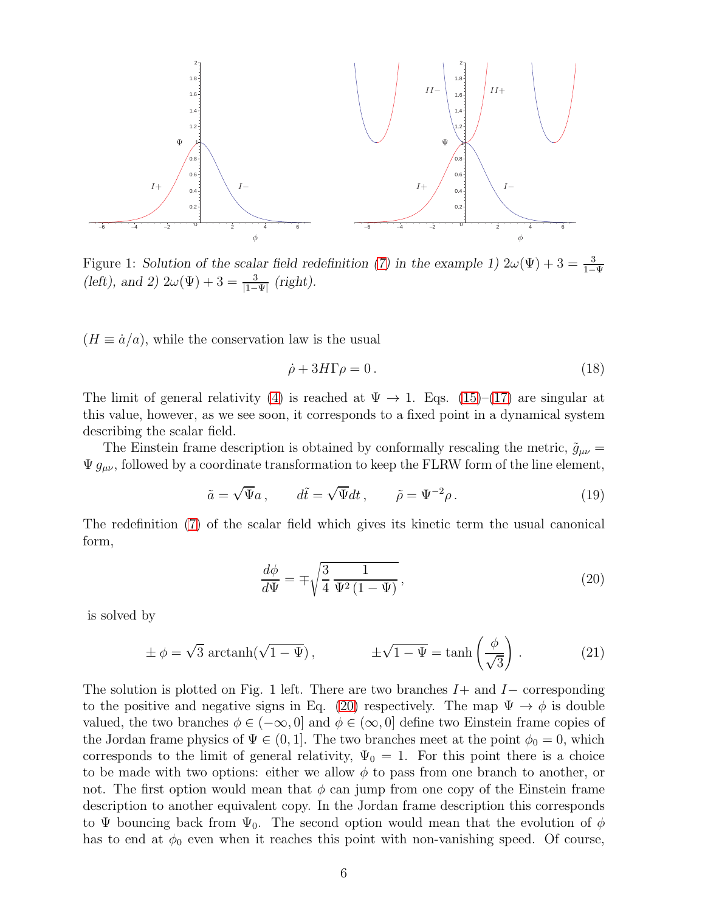

Figure 1: Solution of the scalar field redefinition [\(7\)](#page-3-0) in the example 1)  $2\omega(\Psi) + 3 = \frac{3}{1-\Psi}$ (left), and 2)  $2\omega(\Psi) + 3 = \frac{3}{|1-\Psi|}$  (right).

 $(H \equiv \dot{a}/a)$ , while the conservation law is the usual

<span id="page-5-1"></span>
$$
\dot{\rho} + 3H\Gamma\rho = 0. \tag{18}
$$

The limit of general relativity [\(4\)](#page-2-1) is reached at  $\Psi \to 1$ . Eqs. [\(15\)](#page-4-0)–[\(17\)](#page-4-0) are singular at this value, however, as we see soon, it corresponds to a fixed point in a dynamical system describing the scalar field.

The Einstein frame description is obtained by conformally rescaling the metric,  $\tilde{g}_{\mu\nu}$  =  $\Psi g_{\mu\nu}$ , followed by a coordinate transformation to keep the FLRW form of the line element,

$$
\tilde{a} = \sqrt{\Psi}a, \qquad d\tilde{t} = \sqrt{\Psi}dt, \qquad \tilde{\rho} = \Psi^{-2}\rho. \tag{19}
$$

The redefinition [\(7\)](#page-3-0) of the scalar field which gives its kinetic term the usual canonical form,

<span id="page-5-0"></span>
$$
\frac{d\phi}{d\Psi} = \mp \sqrt{\frac{3}{4} \frac{1}{\Psi^2 (1 - \Psi)}},\tag{20}
$$

is solved by

<span id="page-5-2"></span>
$$
\pm \phi = \sqrt{3} \arctanh(\sqrt{1 - \Psi}), \qquad \pm \sqrt{1 - \Psi} = \tanh\left(\frac{\phi}{\sqrt{3}}\right). \tag{21}
$$

The solution is plotted on Fig. 1 left. There are two branches  $I+$  and  $I-$  corresponding to the positive and negative signs in Eq. [\(20\)](#page-5-0) respectively. The map  $\Psi \to \phi$  is double valued, the two branches  $\phi \in (-\infty, 0]$  and  $\phi \in (\infty, 0]$  define two Einstein frame copies of the Jordan frame physics of  $\Psi \in (0, 1]$ . The two branches meet at the point  $\phi_0 = 0$ , which corresponds to the limit of general relativity,  $\Psi_0 = 1$ . For this point there is a choice to be made with two options: either we allow  $\phi$  to pass from one branch to another, or not. The first option would mean that  $\phi$  can jump from one copy of the Einstein frame description to another equivalent copy. In the Jordan frame description this corresponds to  $\Psi$  bouncing back from  $\Psi_0$ . The second option would mean that the evolution of  $\phi$ has to end at  $\phi_0$  even when it reaches this point with non-vanishing speed. Of course,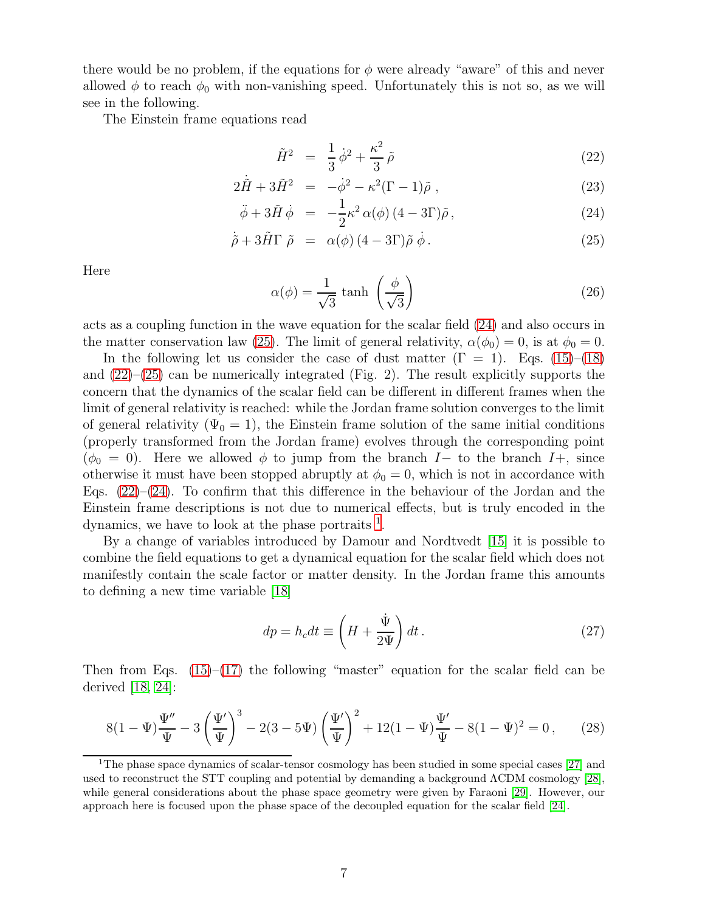there would be no problem, if the equations for  $\phi$  were already "aware" of this and never allowed  $\phi$  to reach  $\phi_0$  with non-vanishing speed. Unfortunately this is not so, as we will see in the following.

The Einstein frame equations read

<span id="page-6-0"></span>
$$
\tilde{H}^2 = \frac{1}{3}\dot{\phi}^2 + \frac{\kappa^2}{3}\tilde{\rho}
$$
\n(22)

$$
2\dot{\tilde{H}} + 3\tilde{H}^2 = -\dot{\phi}^2 - \kappa^2(\Gamma - 1)\tilde{\rho} , \qquad (23)
$$

$$
\ddot{\phi} + 3\tilde{H}\dot{\phi} = -\frac{1}{2}\kappa^2 \alpha(\phi) (4 - 3\Gamma)\tilde{\rho}, \qquad (24)
$$

$$
\dot{\tilde{\rho}} + 3\tilde{H}\Gamma \tilde{\rho} = \alpha(\phi) (4 - 3\Gamma) \tilde{\rho} \dot{\phi}. \qquad (25)
$$

Here

<span id="page-6-4"></span>
$$
\alpha(\phi) = \frac{1}{\sqrt{3}} \tanh\left(\frac{\phi}{\sqrt{3}}\right) \tag{26}
$$

acts as a coupling function in the wave equation for the scalar field [\(24\)](#page-6-0) and also occurs in the matter conservation law [\(25\)](#page-6-0). The limit of general relativity,  $\alpha(\phi_0) = 0$ , is at  $\phi_0 = 0$ .

In the following let us consider the case of dust matter  $(\Gamma = 1)$ . Eqs.  $(15)$ – $(18)$ and  $(22)$ – $(25)$  can be numerically integrated (Fig. 2). The result explicitly supports the concern that the dynamics of the scalar field can be different in different frames when the limit of general relativity is reached: while the Jordan frame solution converges to the limit of general relativity  $(\Psi_0 = 1)$ , the Einstein frame solution of the same initial conditions (properly transformed from the Jordan frame) evolves through the corresponding point  $(\phi_0 = 0)$ . Here we allowed  $\phi$  to jump from the branch I– to the branch I+, since otherwise it must have been stopped abruptly at  $\phi_0 = 0$ , which is not in accordance with Eqs.  $(22)-(24)$  $(22)-(24)$ . To confirm that this difference in the behaviour of the Jordan and the Einstein frame descriptions is not due to numerical effects, but is truly encoded in the dynamics, we have to look at the phase portraits  $<sup>1</sup>$  $<sup>1</sup>$  $<sup>1</sup>$ .</sup>

By a change of variables introduced by Damour and Nordtvedt [\[15\]](#page-14-10) it is possible to combine the field equations to get a dynamical equation for the scalar field which does not manifestly contain the scale factor or matter density. In the Jordan frame this amounts to defining a new time variable [\[18\]](#page-14-13)

<span id="page-6-2"></span>
$$
dp = h_c dt \equiv \left( H + \frac{\dot{\Psi}}{2\Psi} \right) dt. \tag{27}
$$

Then from Eqs.  $(15)$ – $(17)$  the following "master" equation for the scalar field can be derived [\[18,](#page-14-13) [24\]](#page-15-1):

<span id="page-6-3"></span>
$$
8(1-\Psi)\frac{\Psi''}{\Psi} - 3\left(\frac{\Psi'}{\Psi}\right)^3 - 2(3-5\Psi)\left(\frac{\Psi'}{\Psi}\right)^2 + 12(1-\Psi)\frac{\Psi'}{\Psi} - 8(1-\Psi)^2 = 0\,,\tag{28}
$$

<span id="page-6-1"></span><sup>&</sup>lt;sup>1</sup>The phase space dynamics of scalar-tensor cosmology has been studied in some special cases [\[27\]](#page-15-4) and used to reconstruct the STT coupling and potential by demanding a background ΛCDM cosmology [\[28\]](#page-15-5), while general considerations about the phase space geometry were given by Faraoni [\[29\]](#page-15-6). However, our approach here is focused upon the phase space of the decoupled equation for the scalar field [\[24\]](#page-15-1).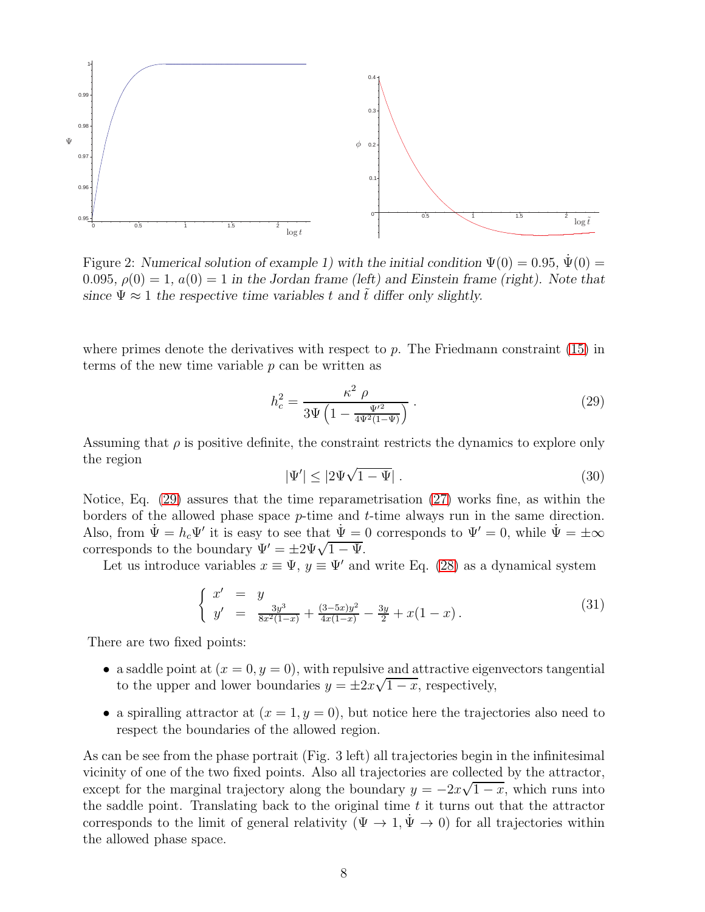

Figure 2: Numerical solution of example 1) with the initial condition  $\Psi(0) = 0.95$ ,  $\Psi(0) =$ 0.095,  $\rho(0) = 1$ ,  $a(0) = 1$  in the Jordan frame (left) and Einstein frame (right). Note that since  $\Psi \approx 1$  the respective time variables t and  $\tilde{t}$  differ only slightly.

where primes denote the derivatives with respect to p. The Friedmann constraint  $(15)$  in terms of the new time variable  $p$  can be written as

<span id="page-7-0"></span>
$$
h_c^2 = \frac{\kappa^2 \; \rho}{3\Psi \left(1 - \frac{\Psi'^2}{4\Psi^2 (1 - \Psi)}\right)} \; . \tag{29}
$$

Assuming that  $\rho$  is positive definite, the constraint restricts the dynamics to explore only the region

$$
|\Psi'| \le |2\Psi\sqrt{1-\Psi}| \ . \tag{30}
$$

Notice, Eq. [\(29\)](#page-7-0) assures that the time reparametrisation [\(27\)](#page-6-2) works fine, as within the borders of the allowed phase space  $p$ -time and  $t$ -time always run in the same direction. Also, from  $\Psi = h_c \Psi'$  it is easy to see that  $\Psi = 0$  corresponds to  $\Psi' = 0$ , while  $\Psi = \pm \infty$ corresponds to the boundary  $\Psi' = \pm 2\Psi \sqrt{1-\Psi}$ .

Let us introduce variables  $x \equiv \Psi$ ,  $y \equiv \Psi'$  and write Eq. [\(28\)](#page-6-3) as a dynamical system

$$
\begin{cases}\nx' = y \\
y' = \frac{3y^3}{8x^2(1-x)} + \frac{(3-5x)y^2}{4x(1-x)} - \frac{3y}{2} + x(1-x).\n\end{cases}
$$
\n(31)

There are two fixed points:

- a saddle point at  $(x = 0, y = 0)$ , with repulsive and attractive eigenvectors tangential to the upper and lower boundaries  $y = \pm 2x\sqrt{1-x}$ , respectively,
- a spiralling attractor at  $(x = 1, y = 0)$ , but notice here the trajectories also need to respect the boundaries of the allowed region.

As can be see from the phase portrait (Fig. 3 left) all trajectories begin in the infinitesimal vicinity of one of the two fixed points. Also all trajectories are collected by the attractor, except for the marginal trajectory along the boundary  $y = -2x\sqrt{1-x}$ , which runs into the saddle point. Translating back to the original time  $t$  it turns out that the attractor corresponds to the limit of general relativity ( $\Psi \to 1, \Psi \to 0$ ) for all trajectories within the allowed phase space.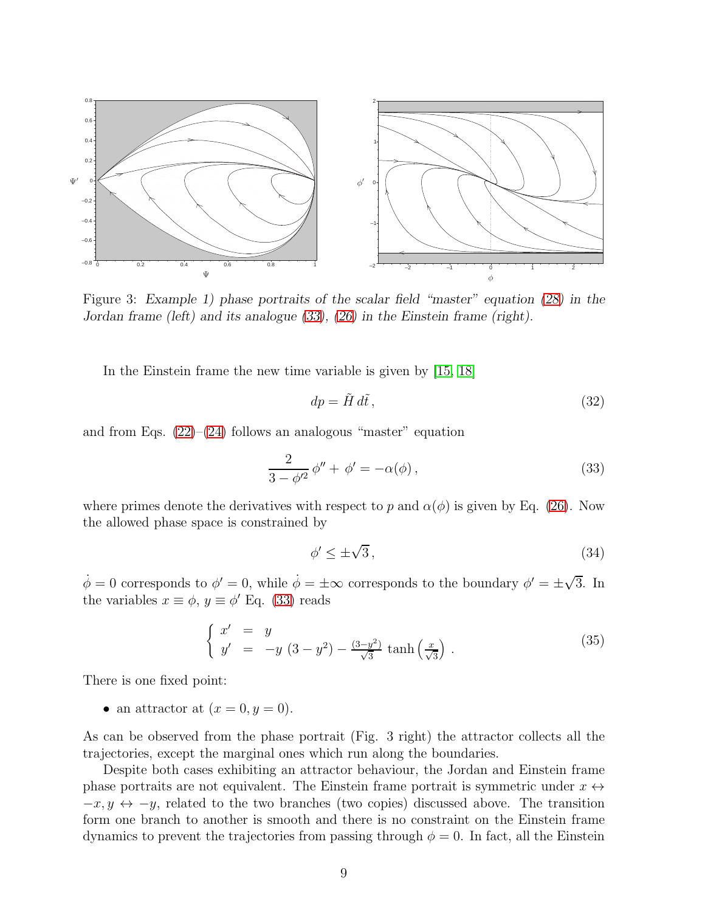

Figure 3: Example 1) phase portraits of the scalar field "master" equation [\(28\)](#page-6-3) in the Jordan frame (left) and its analogue [\(33\)](#page-8-0), [\(26\)](#page-6-4) in the Einstein frame (right).

In the Einstein frame the new time variable is given by [\[15,](#page-14-10) [18\]](#page-14-13)

$$
dp = \tilde{H} d\tilde{t},\tag{32}
$$

and from Eqs.  $(22)$ – $(24)$  follows an analogous "master" equation

<span id="page-8-0"></span>
$$
\frac{2}{3 - \phi'^2} \phi'' + \phi' = -\alpha(\phi),
$$
\n(33)

where primes denote the derivatives with respect to p and  $\alpha(\phi)$  is given by Eq. [\(26\)](#page-6-4). Now the allowed phase space is constrained by

$$
\phi' \le \pm \sqrt{3},\tag{34}
$$

 $\dot{\phi} = 0$  corresponds to  $\phi' = 0$ , while  $\dot{\phi} = \pm \infty$  corresponds to the boundary  $\phi' = \pm \sqrt{3}$ . In the variables  $x \equiv \phi, y \equiv \phi'$  Eq. [\(33\)](#page-8-0) reads

$$
\begin{cases}\nx' = y \\
y' = -y(3-y^2) - \frac{(3-y^2)}{\sqrt{3}}\tanh\left(\frac{x}{\sqrt{3}}\right).\n\end{cases} (35)
$$

There is one fixed point:

• an attractor at  $(x = 0, y = 0)$ .

As can be observed from the phase portrait (Fig. 3 right) the attractor collects all the trajectories, except the marginal ones which run along the boundaries.

Despite both cases exhibiting an attractor behaviour, the Jordan and Einstein frame phase portraits are not equivalent. The Einstein frame portrait is symmetric under  $x \leftrightarrow$  $-x, y \leftrightarrow -y$ , related to the two branches (two copies) discussed above. The transition form one branch to another is smooth and there is no constraint on the Einstein frame dynamics to prevent the trajectories from passing through  $\phi = 0$ . In fact, all the Einstein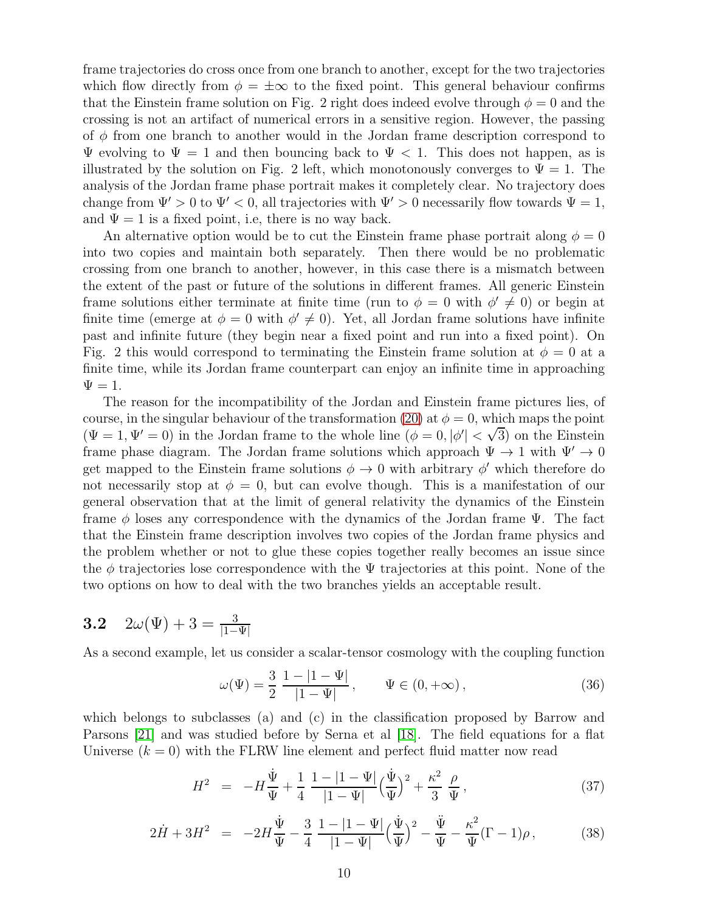frame trajectories do cross once from one branch to another, except for the two trajectories which flow directly from  $\phi = \pm \infty$  to the fixed point. This general behaviour confirms that the Einstein frame solution on Fig. 2 right does indeed evolve through  $\phi = 0$  and the crossing is not an artifact of numerical errors in a sensitive region. However, the passing of  $\phi$  from one branch to another would in the Jordan frame description correspond to  $\Psi$  evolving to  $\Psi = 1$  and then bouncing back to  $\Psi < 1$ . This does not happen, as is illustrated by the solution on Fig. 2 left, which monotonously converges to  $\Psi = 1$ . The analysis of the Jordan frame phase portrait makes it completely clear. No trajectory does change from  $\Psi' > 0$  to  $\Psi' < 0$ , all trajectories with  $\Psi' > 0$  necessarily flow towards  $\Psi = 1$ , and  $\Psi = 1$  is a fixed point, i.e, there is no way back.

An alternative option would be to cut the Einstein frame phase portrait along  $\phi = 0$ into two copies and maintain both separately. Then there would be no problematic crossing from one branch to another, however, in this case there is a mismatch between the extent of the past or future of the solutions in different frames. All generic Einstein frame solutions either terminate at finite time (run to  $\phi = 0$  with  $\phi' \neq 0$ ) or begin at finite time (emerge at  $\phi = 0$  with  $\phi' \neq 0$ ). Yet, all Jordan frame solutions have infinite past and infinite future (they begin near a fixed point and run into a fixed point). On Fig. 2 this would correspond to terminating the Einstein frame solution at  $\phi = 0$  at a finite time, while its Jordan frame counterpart can enjoy an infinite time in approaching  $\Psi = 1.$ 

The reason for the incompatibility of the Jordan and Einstein frame pictures lies, of course, in the singular behaviour of the transformation [\(20\)](#page-5-0) at  $\phi = 0$ , which maps the point  $(\Psi = 1, \Psi' = 0)$  in the Jordan frame to the whole line  $(\phi = 0, |\phi'| < \sqrt{3})$  on the Einstein frame phase diagram. The Jordan frame solutions which approach  $\Psi \to 1$  with  $\Psi' \to 0$ get mapped to the Einstein frame solutions  $\phi \to 0$  with arbitrary  $\phi'$  which therefore do not necessarily stop at  $\phi = 0$ , but can evolve though. This is a manifestation of our general observation that at the limit of general relativity the dynamics of the Einstein frame  $\phi$  loses any correspondence with the dynamics of the Jordan frame Ψ. The fact that the Einstein frame description involves two copies of the Jordan frame physics and the problem whether or not to glue these copies together really becomes an issue since the  $\phi$  trajectories lose correspondence with the  $\Psi$  trajectories at this point. None of the two options on how to deal with the two branches yields an acceptable result.

3.2 
$$
2\omega(\Psi) + 3 = \frac{3}{|1-\Psi|}
$$

As a second example, let us consider a scalar-tensor cosmology with the coupling function

$$
\omega(\Psi) = \frac{3}{2} \frac{1 - |1 - \Psi|}{|1 - \Psi|}, \qquad \Psi \in (0, +\infty), \tag{36}
$$

which belongs to subclasses (a) and (c) in the classification proposed by Barrow and Parsons [\[21\]](#page-14-16) and was studied before by Serna et al [\[18\]](#page-14-13). The field equations for a flat Universe  $(k = 0)$  with the FLRW line element and perfect fluid matter now read

$$
H^{2} = -H\frac{\dot{\Psi}}{\Psi} + \frac{1}{4}\frac{1 - |1 - \Psi|}{|1 - \Psi|}\left(\frac{\dot{\Psi}}{\Psi}\right)^{2} + \frac{\kappa^{2}}{3}\frac{\rho}{\Psi},
$$
\n(37)

$$
2\dot{H} + 3H^2 = -2H\frac{\dot{\Psi}}{\Psi} - \frac{3}{4}\frac{1 - |1 - \Psi|}{|1 - \Psi|}\left(\frac{\dot{\Psi}}{\Psi}\right)^2 - \frac{\ddot{\Psi}}{\Psi} - \frac{\kappa^2}{\Psi}(\Gamma - 1)\rho, \tag{38}
$$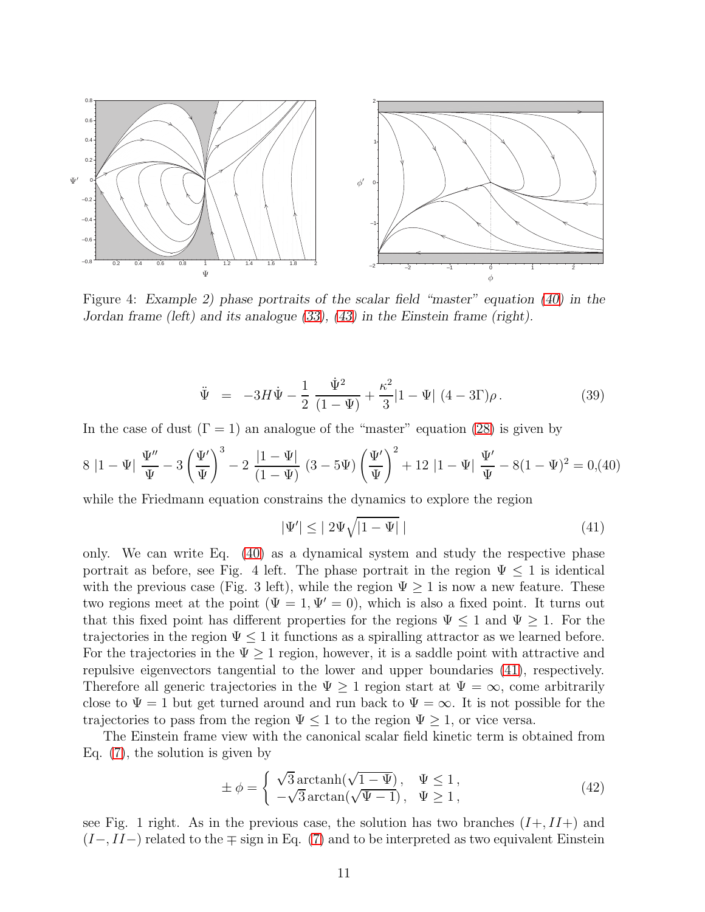

Figure 4: Example 2) phase portraits of the scalar field "master" equation [\(40\)](#page-10-0) in the Jordan frame (left) and its analogue [\(33\)](#page-8-0), [\(43\)](#page-11-0) in the Einstein frame (right).

$$
\ddot{\Psi} = -3H\dot{\Psi} - \frac{1}{2}\frac{\dot{\Psi}^2}{(1-\Psi)} + \frac{\kappa^2}{3}|1-\Psi| (4-3\Gamma)\rho.
$$
 (39)

In the case of dust  $(\Gamma = 1)$  an analogue of the "master" equation [\(28\)](#page-6-3) is given by

<span id="page-10-0"></span>
$$
8|1 - \Psi| \frac{\Psi''}{\Psi} - 3\left(\frac{\Psi'}{\Psi}\right)^3 - 2\frac{|1 - \Psi|}{(1 - \Psi)} (3 - 5\Psi) \left(\frac{\Psi'}{\Psi}\right)^2 + 12|1 - \Psi| \frac{\Psi'}{\Psi} - 8(1 - \Psi)^2 = 0, \tag{40}
$$

while the Friedmann equation constrains the dynamics to explore the region

<span id="page-10-1"></span>
$$
|\Psi'| \le |2\Psi\sqrt{|1-\Psi|} | \tag{41}
$$

only. We can write Eq. [\(40\)](#page-10-0) as a dynamical system and study the respective phase portrait as before, see Fig. 4 left. The phase portrait in the region  $\Psi \leq 1$  is identical with the previous case (Fig. 3 left), while the region  $\Psi \geq 1$  is now a new feature. These two regions meet at the point ( $\Psi = 1$ ,  $\Psi' = 0$ ), which is also a fixed point. It turns out that this fixed point has different properties for the regions  $\Psi \leq 1$  and  $\Psi \geq 1$ . For the trajectories in the region  $\Psi \leq 1$  it functions as a spiralling attractor as we learned before. For the trajectories in the  $\Psi > 1$  region, however, it is a saddle point with attractive and repulsive eigenvectors tangential to the lower and upper boundaries [\(41\)](#page-10-1), respectively. Therefore all generic trajectories in the  $\Psi \geq 1$  region start at  $\Psi = \infty$ , come arbitrarily close to  $\Psi = 1$  but get turned around and run back to  $\Psi = \infty$ . It is not possible for the trajectories to pass from the region  $\Psi \leq 1$  to the region  $\Psi \geq 1$ , or vice versa.

The Einstein frame view with the canonical scalar field kinetic term is obtained from Eq. [\(7\)](#page-3-0), the solution is given by

<span id="page-10-2"></span>
$$
\pm \phi = \begin{cases} \sqrt{3} \arctanh(\sqrt{1 - \Psi}), & \Psi \le 1, \\ -\sqrt{3} \arctan(\sqrt{\Psi - 1}), & \Psi \ge 1, \end{cases}
$$
\n(42)

see Fig. 1 right. As in the previous case, the solution has two branches  $(I+, II+)$  and  $(I-, II-)$  related to the  $\mp$  sign in Eq. [\(7\)](#page-3-0) and to be interpreted as two equivalent Einstein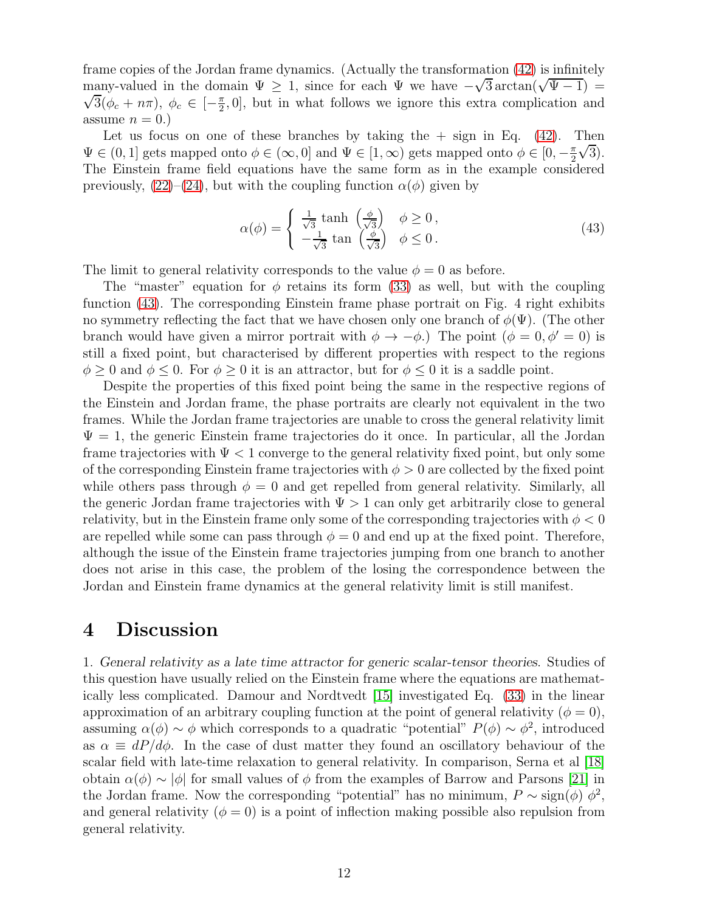frame copies of the Jordan frame dynamics. (Actually the transformation [\(42\)](#page-10-2) is infinitely many-valued in the domain  $\Psi \geq 1$ , since for each  $\Psi$  we have  $-\sqrt{3} \arctan(\sqrt{\Psi-1}) =$  $\sqrt{3}(\phi_c + n\pi), \phi_c \in \left[-\frac{\pi}{2}\right]$  $\frac{\pi}{2}$ , 0, but in what follows we ignore this extra complication and assume  $n = 0.$ 

Let us focus on one of these branches by taking the  $+$  sign in Eq. [\(42\)](#page-10-2). Then  $\Psi \in (0, 1]$  gets mapped onto  $\phi \in (\infty, 0]$  and  $\Psi \in [1, \infty)$  gets mapped onto  $\phi \in [0, -\frac{\pi}{2}]$ 2  $\sqrt{3}$ ). The Einstein frame field equations have the same form as in the example considered previously,  $(22)$ – $(24)$ , but with the coupling function  $\alpha(\phi)$  given by

<span id="page-11-0"></span>
$$
\alpha(\phi) = \begin{cases} \frac{1}{\sqrt{3}} \tanh\left(\frac{\phi}{\sqrt{3}}\right) & \phi \ge 0, \\ -\frac{1}{\sqrt{3}} \tan\left(\frac{\phi}{\sqrt{3}}\right) & \phi \le 0. \end{cases}
$$
(43)

The limit to general relativity corresponds to the value  $\phi = 0$  as before.

The "master" equation for  $\phi$  retains its form [\(33\)](#page-8-0) as well, but with the coupling function [\(43\)](#page-11-0). The corresponding Einstein frame phase portrait on Fig. 4 right exhibits no symmetry reflecting the fact that we have chosen only one branch of  $\phi(\Psi)$ . (The other branch would have given a mirror portrait with  $\phi \to -\phi$ .) The point  $(\phi = 0, \phi' = 0)$  is still a fixed point, but characterised by different properties with respect to the regions  $\phi > 0$  and  $\phi \leq 0$ . For  $\phi > 0$  it is an attractor, but for  $\phi \leq 0$  it is a saddle point.

Despite the properties of this fixed point being the same in the respective regions of the Einstein and Jordan frame, the phase portraits are clearly not equivalent in the two frames. While the Jordan frame trajectories are unable to cross the general relativity limit  $\Psi = 1$ , the generic Einstein frame trajectories do it once. In particular, all the Jordan frame trajectories with  $\Psi < 1$  converge to the general relativity fixed point, but only some of the corresponding Einstein frame trajectories with  $\phi > 0$  are collected by the fixed point while others pass through  $\phi = 0$  and get repelled from general relativity. Similarly, all the generic Jordan frame trajectories with  $\Psi > 1$  can only get arbitrarily close to general relativity, but in the Einstein frame only some of the corresponding trajectories with  $\phi < 0$ are repelled while some can pass through  $\phi = 0$  and end up at the fixed point. Therefore, although the issue of the Einstein frame trajectories jumping from one branch to another does not arise in this case, the problem of the losing the correspondence between the Jordan and Einstein frame dynamics at the general relativity limit is still manifest.

#### 4 Discussion

1. General relativity as a late time attractor for generic scalar-tensor theories. Studies of this question have usually relied on the Einstein frame where the equations are mathematically less complicated. Damour and Nordtvedt [\[15\]](#page-14-10) investigated Eq. [\(33\)](#page-8-0) in the linear approximation of an arbitrary coupling function at the point of general relativity ( $\phi = 0$ ), assuming  $\alpha(\phi) \sim \phi$  which corresponds to a quadratic "potential"  $P(\phi) \sim \phi^2$ , introduced as  $\alpha \equiv dP/d\phi$ . In the case of dust matter they found an oscillatory behaviour of the scalar field with late-time relaxation to general relativity. In comparison, Serna et al [\[18\]](#page-14-13) obtain  $\alpha(\phi) \sim |\phi|$  for small values of  $\phi$  from the examples of Barrow and Parsons [\[21\]](#page-14-16) in the Jordan frame. Now the corresponding "potential" has no minimum,  $P \sim \text{sign}(\phi) \phi^2$ , and general relativity ( $\phi = 0$ ) is a point of inflection making possible also repulsion from general relativity.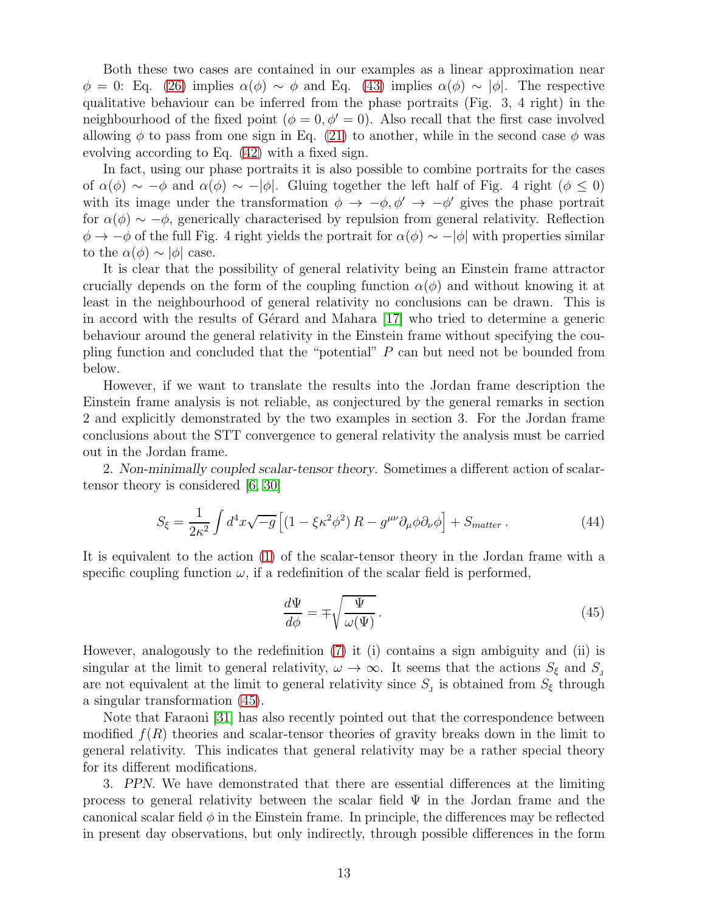Both these two cases are contained in our examples as a linear approximation near  $\phi = 0$ : Eq. [\(26\)](#page-6-4) implies  $\alpha(\phi) \sim \phi$  and Eq. [\(43\)](#page-11-0) implies  $\alpha(\phi) \sim |\phi|$ . The respective qualitative behaviour can be inferred from the phase portraits (Fig. 3, 4 right) in the neighbourhood of the fixed point ( $\phi = 0, \phi' = 0$ ). Also recall that the first case involved allowing  $\phi$  to pass from one sign in Eq. [\(21\)](#page-5-2) to another, while in the second case  $\phi$  was evolving according to Eq. [\(42\)](#page-10-2) with a fixed sign.

In fact, using our phase portraits it is also possible to combine portraits for the cases of  $\alpha(\phi) \sim -\phi$  and  $\alpha(\phi) \sim -|\phi|$ . Gluing together the left half of Fig. 4 right  $(\phi \leq 0)$ with its image under the transformation  $\phi \to -\phi, \phi' \to -\phi'$  gives the phase portrait for  $\alpha(\phi) \sim -\phi$ , generically characterised by repulsion from general relativity. Reflection  $\phi \to -\phi$  of the full Fig. 4 right yields the portrait for  $\alpha(\phi) \sim -|\phi|$  with properties similar to the  $\alpha(\phi) \sim |\phi|$  case.

It is clear that the possibility of general relativity being an Einstein frame attractor crucially depends on the form of the coupling function  $\alpha(\phi)$  and without knowing it at least in the neighbourhood of general relativity no conclusions can be drawn. This is in accord with the results of G $\acute{e}$  and Mahara [\[17\]](#page-14-12) who tried to determine a generic behaviour around the general relativity in the Einstein frame without specifying the coupling function and concluded that the "potential" P can but need not be bounded from below.

However, if we want to translate the results into the Jordan frame description the Einstein frame analysis is not reliable, as conjectured by the general remarks in section 2 and explicitly demonstrated by the two examples in section 3. For the Jordan frame conclusions about the STT convergence to general relativity the analysis must be carried out in the Jordan frame.

2. Non-minimally coupled scalar-tensor theory. Sometimes a different action of scalartensor theory is considered [\[6,](#page-14-1) [30\]](#page-15-7)

$$
S_{\xi} = \frac{1}{2\kappa^2} \int d^4x \sqrt{-g} \left[ (1 - \xi \kappa^2 \phi^2) R - g^{\mu\nu} \partial_{\mu} \phi \partial_{\nu} \phi \right] + S_{matter} \,. \tag{44}
$$

It is equivalent to the action [\(1\)](#page-2-0) of the scalar-tensor theory in the Jordan frame with a specific coupling function  $\omega$ , if a redefinition of the scalar field is performed,

<span id="page-12-0"></span>
$$
\frac{d\Psi}{d\phi} = \mp \sqrt{\frac{\Psi}{\omega(\Psi)}}.
$$
\n(45)

However, analogously to the redefinition [\(7\)](#page-3-0) it (i) contains a sign ambiguity and (ii) is singular at the limit to general relativity,  $\omega \to \infty$ . It seems that the actions  $S_{\xi}$  and  $S_{\eta}$ are not equivalent at the limit to general relativity since  $S<sub>j</sub>$  is obtained from  $S<sub>\xi</sub>$  through a singular transformation [\(45\)](#page-12-0).

Note that Faraoni [\[31\]](#page-15-8) has also recently pointed out that the correspondence between modified  $f(R)$  theories and scalar-tensor theories of gravity breaks down in the limit to general relativity. This indicates that general relativity may be a rather special theory for its different modifications.

3. PPN. We have demonstrated that there are essential differences at the limiting process to general relativity between the scalar field  $\Psi$  in the Jordan frame and the canonical scalar field  $\phi$  in the Einstein frame. In principle, the differences may be reflected in present day observations, but only indirectly, through possible differences in the form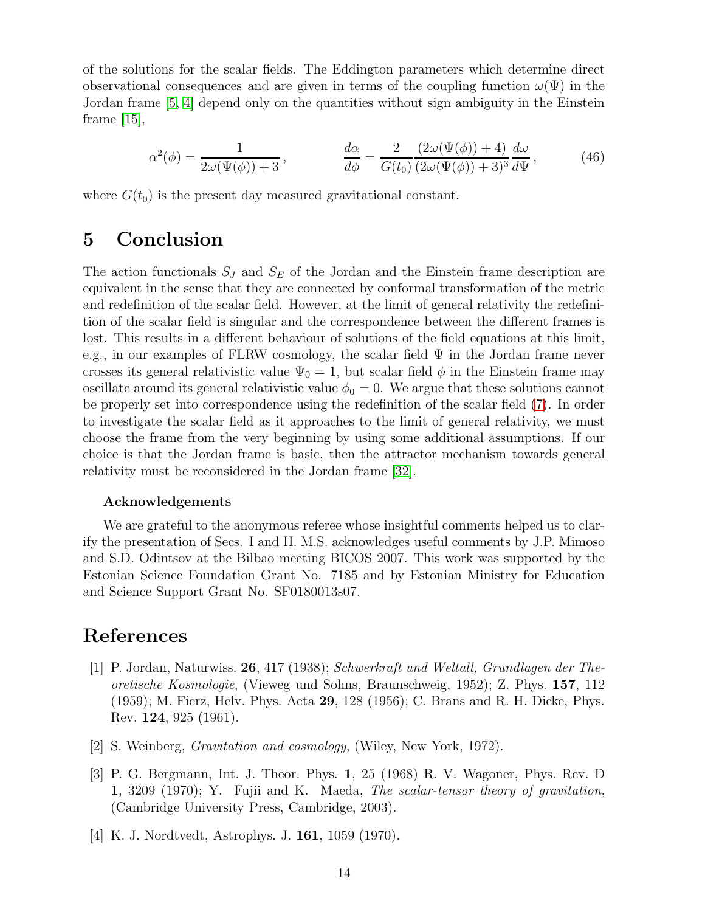of the solutions for the scalar fields. The Eddington parameters which determine direct observational consequences and are given in terms of the coupling function  $\omega(\Psi)$  in the Jordan frame [\[5,](#page-14-0) [4\]](#page-13-3) depend only on the quantities without sign ambiguity in the Einstein frame [\[15\]](#page-14-10),

$$
\alpha^{2}(\phi) = \frac{1}{2\omega(\Psi(\phi)) + 3}, \qquad \frac{d\alpha}{d\phi} = \frac{2}{G(t_0)} \frac{(2\omega(\Psi(\phi)) + 4)}{(2\omega(\Psi(\phi)) + 3)^{3}} \frac{d\omega}{d\Psi}, \qquad (46)
$$

where  $G(t_0)$  is the present day measured gravitational constant.

# 5 Conclusion

The action functionals  $S_J$  and  $S_E$  of the Jordan and the Einstein frame description are equivalent in the sense that they are connected by conformal transformation of the metric and redefinition of the scalar field. However, at the limit of general relativity the redefinition of the scalar field is singular and the correspondence between the different frames is lost. This results in a different behaviour of solutions of the field equations at this limit, e.g., in our examples of FLRW cosmology, the scalar field  $\Psi$  in the Jordan frame never crosses its general relativistic value  $\Psi_0 = 1$ , but scalar field  $\phi$  in the Einstein frame may oscillate around its general relativistic value  $\phi_0 = 0$ . We argue that these solutions cannot be properly set into correspondence using the redefinition of the scalar field [\(7\)](#page-3-0). In order to investigate the scalar field as it approaches to the limit of general relativity, we must choose the frame from the very beginning by using some additional assumptions. If our choice is that the Jordan frame is basic, then the attractor mechanism towards general relativity must be reconsidered in the Jordan frame [\[32\]](#page-15-9).

#### Acknowledgements

We are grateful to the anonymous referee whose insightful comments helped us to clarify the presentation of Secs. I and II. M.S. acknowledges useful comments by J.P. Mimoso and S.D. Odintsov at the Bilbao meeting BICOS 2007. This work was supported by the Estonian Science Foundation Grant No. 7185 and by Estonian Ministry for Education and Science Support Grant No. SF0180013s07.

### <span id="page-13-0"></span>References

- [1] P. Jordan, Naturwiss. 26, 417 (1938); Schwerkraft und Weltall, Grundlagen der Theoretische Kosmologie, (Vieweg und Sohns, Braunschweig, 1952); Z. Phys. 157, 112 (1959); M. Fierz, Helv. Phys. Acta 29, 128 (1956); C. Brans and R. H. Dicke, Phys. Rev. 124, 925 (1961).
- <span id="page-13-2"></span><span id="page-13-1"></span>[2] S. Weinberg, Gravitation and cosmology, (Wiley, New York, 1972).
- [3] P. G. Bergmann, Int. J. Theor. Phys. 1, 25 (1968) R. V. Wagoner, Phys. Rev. D 1, 3209 (1970); Y. Fujii and K. Maeda, The scalar-tensor theory of gravitation, (Cambridge University Press, Cambridge, 2003).
- <span id="page-13-3"></span>[4] K. J. Nordtvedt, Astrophys. J. 161, 1059 (1970).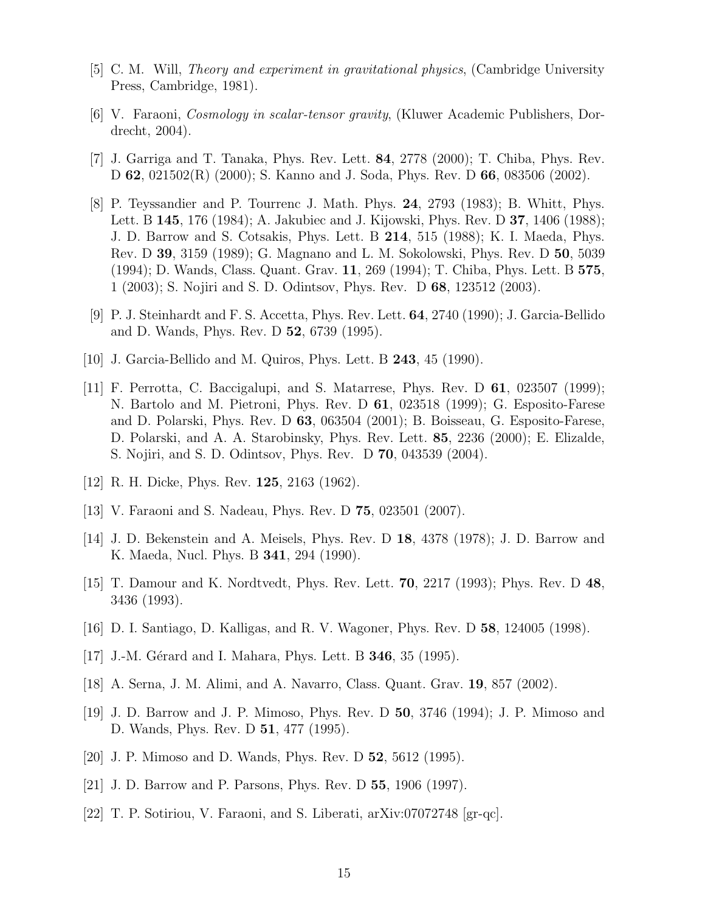- <span id="page-14-1"></span><span id="page-14-0"></span>[5] C. M. Will, Theory and experiment in gravitational physics, (Cambridge University Press, Cambridge, 1981).
- <span id="page-14-2"></span>[6] V. Faraoni, Cosmology in scalar-tensor gravity, (Kluwer Academic Publishers, Dordrecht, 2004).
- <span id="page-14-3"></span>[7] J. Garriga and T. Tanaka, Phys. Rev. Lett. 84, 2778 (2000); T. Chiba, Phys. Rev. D 62, 021502(R) (2000); S. Kanno and J. Soda, Phys. Rev. D 66, 083506 (2002).
- [8] P. Teyssandier and P. Tourrenc J. Math. Phys. 24, 2793 (1983); B. Whitt, Phys. Lett. B 145, 176 (1984); A. Jakubiec and J. Kijowski, Phys. Rev. D 37, 1406 (1988); J. D. Barrow and S. Cotsakis, Phys. Lett. B 214, 515 (1988); K. I. Maeda, Phys. Rev. D 39, 3159 (1989); G. Magnano and L. M. Sokolowski, Phys. Rev. D 50, 5039 (1994); D. Wands, Class. Quant. Grav. 11, 269 (1994); T. Chiba, Phys. Lett. B 575, 1 (2003); S. Nojiri and S. D. Odintsov, Phys. Rev. D 68, 123512 (2003).
- <span id="page-14-5"></span><span id="page-14-4"></span>[9] P. J. Steinhardt and F. S. Accetta, Phys. Rev. Lett. 64, 2740 (1990); J. Garcia-Bellido and D. Wands, Phys. Rev. D 52, 6739 (1995).
- <span id="page-14-6"></span>[10] J. Garcia-Bellido and M. Quiros, Phys. Lett. B 243, 45 (1990).
- [11] F. Perrotta, C. Baccigalupi, and S. Matarrese, Phys. Rev. D 61, 023507 (1999); N. Bartolo and M. Pietroni, Phys. Rev. D 61, 023518 (1999); G. Esposito-Farese and D. Polarski, Phys. Rev. D 63, 063504 (2001); B. Boisseau, G. Esposito-Farese, D. Polarski, and A. A. Starobinsky, Phys. Rev. Lett. 85, 2236 (2000); E. Elizalde, S. Nojiri, and S. D. Odintsov, Phys. Rev. D 70, 043539 (2004).
- <span id="page-14-8"></span><span id="page-14-7"></span>[12] R. H. Dicke, Phys. Rev. 125, 2163 (1962).
- <span id="page-14-9"></span>[13] V. Faraoni and S. Nadeau, Phys. Rev. D 75, 023501 (2007).
- <span id="page-14-10"></span>[14] J. D. Bekenstein and A. Meisels, Phys. Rev. D 18, 4378 (1978); J. D. Barrow and K. Maeda, Nucl. Phys. B 341, 294 (1990).
- [15] T. Damour and K. Nordtvedt, Phys. Rev. Lett. 70, 2217 (1993); Phys. Rev. D 48, 3436 (1993).
- <span id="page-14-12"></span><span id="page-14-11"></span>[16] D. I. Santiago, D. Kalligas, and R. V. Wagoner, Phys. Rev. D 58, 124005 (1998).
- <span id="page-14-13"></span>[17] J.-M. Gérard and I. Mahara, Phys. Lett. B **346**, 35 (1995).
- <span id="page-14-14"></span>[18] A. Serna, J. M. Alimi, and A. Navarro, Class. Quant. Grav. 19, 857 (2002).
- [19] J. D. Barrow and J. P. Mimoso, Phys. Rev. D 50, 3746 (1994); J. P. Mimoso and D. Wands, Phys. Rev. D 51, 477 (1995).
- <span id="page-14-16"></span><span id="page-14-15"></span>[20] J. P. Mimoso and D. Wands, Phys. Rev. D 52, 5612 (1995).
- <span id="page-14-17"></span>[21] J. D. Barrow and P. Parsons, Phys. Rev. D 55, 1906 (1997).
- [22] T. P. Sotiriou, V. Faraoni, and S. Liberati, arXiv:07072748 [gr-qc].